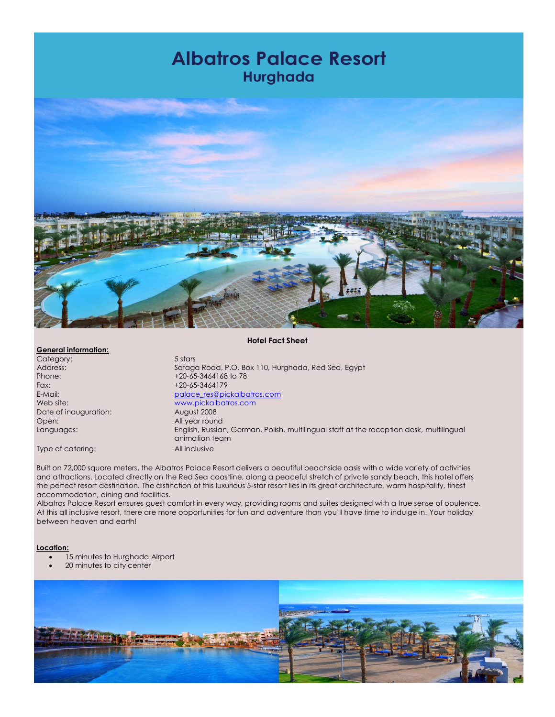

### **Hotel Fact Sheet**

#### **General information:**

| Category:             |
|-----------------------|
| Address:              |
| Phone:                |
| Fax:                  |
| E-Mail:               |
| Web site:             |
| Date of inauguration: |
| Open:                 |
| Languages:            |

5 stars Safaga Road, P.O. Box 110, Hurghada, Red Sea, Egypt Phone: +20-65-3464168 to 78 Fax: +20-65-3464179 [palace\\_res@pickalbatros.com](mailto:palace_res@pickalbatros.com) www.pickalbatros.com August 2008 All year round English, Russian, German, Polish, multilingual staff at the reception desk, multilingual animation team Type of catering: All inclusive

 Built on 72,000 square meters, the Albatros Palace Resort delivers a beautiful beachside oasis with a wide variety of activities and attractions. Located directly on the Red Sea coastline, along a peaceful stretch of private sandy beach, this hotel offers the perfect resort destination. The distinction of this luxurious 5-star resort lies in its great architecture, warm hospitality, finest accommodation, dining and facilities.

 Albatros Palace Resort ensures guest comfort in every way, providing rooms and suites designed with a true sense of opulence. At this all inclusive resort, there are more opportunities for fun and adventure than you'll have time to indulge in. Your holiday between heaven and earth!

#### **Location:**

- 15 minutes to Hurghada Airport
- 20 minutes to city center

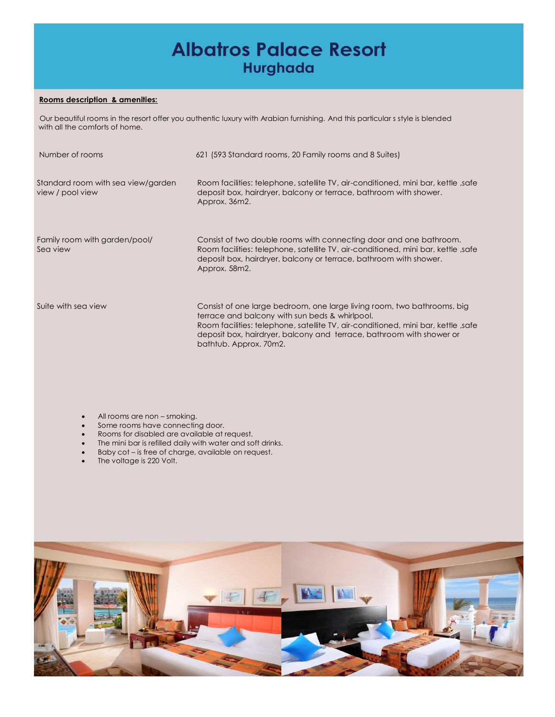## **Rooms description & amenities:**

 Our beautiful rooms in the resort offer you authentic luxury with Arabian furnishing. And this particular s style is blended with all the comforts of home.

| Number of rooms                                        | 621 (593 Standard rooms, 20 Family rooms and 8 Suites)                                                                                                                                                                                                                                                           |
|--------------------------------------------------------|------------------------------------------------------------------------------------------------------------------------------------------------------------------------------------------------------------------------------------------------------------------------------------------------------------------|
| Standard room with sea view/garden<br>view / pool view | Room facilities: telephone, satellite TV, air-conditioned, mini bar, kettle, safe<br>deposit box, hairdryer, balcony or terrace, bathroom with shower.<br>Approx. 36m2.                                                                                                                                          |
| Family room with garden/pool/<br>Sea view              | Consist of two double rooms with connecting door and one bathroom.<br>Room facilities: telephone, satellite TV, air-conditioned, mini bar, kettle, safe<br>deposit box, hairdryer, balcony or terrace, bathroom with shower.<br>Approx. 58m2.                                                                    |
| Suite with sea view                                    | Consist of one large bedroom, one large living room, two bathrooms, big<br>terrace and balcony with sun beds & whirlpool.<br>Room facilities: telephone, satellite TV, air-conditioned, mini bar, kettle, safe<br>deposit box, hairdryer, balcony and terrace, bathroom with shower or<br>bathtub. Approx. 70m2. |

- All rooms are non smoking.
- Some rooms have connecting door.
- Rooms for disabled are available at request.
- The mini bar is refilled daily with water and soft drinks.
- Baby cot is free of charge, available on request.
- The voltage is 220 Volt.

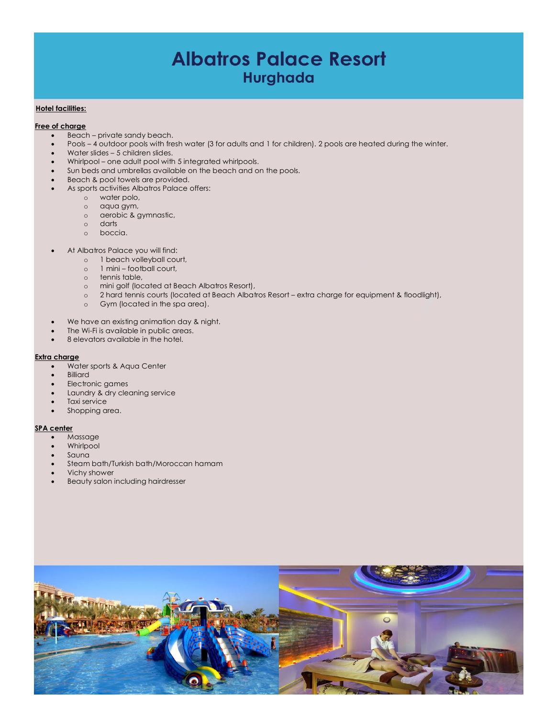### **Hotel facilities:**

### **Free of charge**

- Beach private sandy beach.
- Pools 4 outdoor pools with fresh water (3 for adults and 1 for children). 2 pools are heated during the winter.
- Water slides 5 children slides.
- Whirlpool one adult pool with 5 integrated whirlpools.
- Sun beds and umbrellas available on the beach and on the pools.
- Beach & pool towels are provided.
- As sports activities Albatros Palace offers:
	- o water polo,
	- o aqua gym,
	- o aerobic & gymnastic,
	- o darts
	- o boccia.
- At Albatros Palace you will find:
	- o 1 beach volleyball court,
	- o 1 mini football court,
	- o tennis table,
	- o mini golf (located at Beach Albatros Resort),
	- o 2 hard tennis courts (located at Beach Albatros Resort extra charge for equipment & floodlight),
	- o Gym (located in the spa area).
- We have an existing animation day & night.
- The Wi-Fi is available in public areas.
- 8 elevators available in the hotel.

### **Extra charge**

- Water sports & Aqua Center
- Billiard
- Electronic games
- Laundry & dry cleaning service
- Taxi service
- Shopping area.

### **SPA center**

- Massage
- Whirlpool
- Sauna
- Steam bath/Turkish bath/Moroccan hamam
- Vichy shower
- Beauty salon including hairdresser